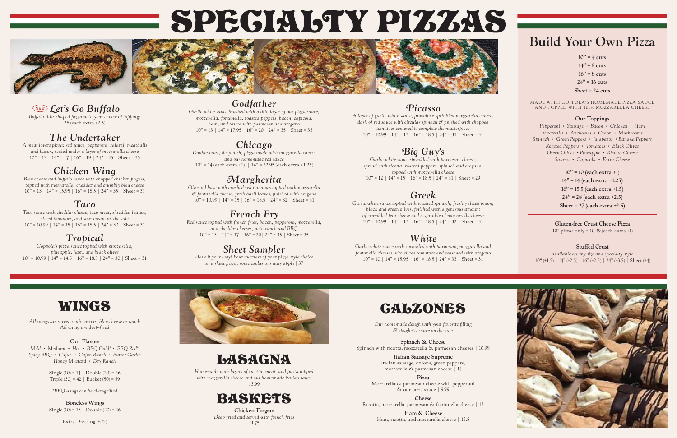### **Build Your Own Pizza**

**10" = 4 cuts 14" = 8 cuts 16" = 8 cuts 24" = 16 cuts Sheet = 24 cuts**

MADE WITH COPPOLA'S HOMEMADE PIZZA SAUCE AND TOPPED WITH 100% MOZZARELLA CHEESE

#### **Our Toppings**

*Pepperoni • Sausage • Bacon • Chicken • Ham Meatballs • Anchovies • Onion • Mushrooms Spinach • Green Peppers • Jalapeños • Banana Peppers Roasted Peppers • Tomatoes • Black Olives Green Olives • Pineapple • Ricotta Cheese Salami • Capicola • Extra Cheese*

*available on any size and specialty style*  $10^{4} (+1.5)$  |  $14^{4} (+2.5)$  |  $16^{4} (+2.5)$  |  $24^{4} (+3.5)$  | Sheet (+4)



**10" = 10 (each extra +1) 14" = 14 (each extra +1.25) 16" = 15.5 (each extra +1.5) 24" = 28 (each extra +2.5) Sheet = 27 (each extra +2.5)**

**Gluten-free Crust Cheese Pizza** 10" pizzas only = 10.99 (each extra +1)

#### **Stuffed Crust**

*A layer of garlic white sauce, provolone sprinkled mozzarella cheere, dash of red sauce with circular spinach & finished with chopped tomatoes centered to complete the masterpiece*  $10" = 10.99$  |  $14" = 15$  |  $16" = 18.5$  |  $24" = 31$  | Sheet = 31



*Our homemade dough with your favorite filling & spaghetti sauce on the side* 

*Garlic white sauce sprinkled with parmesan cheese, spread with ricotta, roasted peppers, spinach and oregano, topped with mozzarella cheese*  $10" = 12 \mid 14" = 15 \mid 16" = 18.5 \mid 24" = 31 \mid Sheet = 29$ 

**Spinach & Cheese** Spinach with ricotta, mozzarella & parmesan cheeses | 10.99

*Garlic white sauce topped with washed spinach, freshly sliced onion, black and green olives, finished with a generous amount of crumbled feta cheese and a sprinkle of mozzarella cheese*  $10" = 10.99 \mid 14" = 15 \mid 16" = 18.5 \mid 24" = 32 \mid \text{Sheet} = 31$ 

> **Italian Sausage Supreme** Italian sausage, onions, green peppers, mozzarella & parmesan cheese | 14

*Garlic white sauce with sprinkled with parmesan, mozzarella and fontanella cheeses with sliced tomatoes and seasoned with oregano*  $10" = 10 \mid 14" = 15.95 \mid 16" = 18.5 \mid 24" = 33 \mid$  Sheet = 31

> **Pizza** Mozzarella & parmesan cheese with pepperoni & our pizza sauce | 9.99

**Cheese** Ricotta, mozzarella, parmesan & fontanella cheese | 13

*Garlic white sauce brushed with a thin layer of our pizza sauce, mozzarella, fontanella, roasted peppers, bacon, capicola, ham, and tossed with parmesan and oregano*  $10" = 13 \mid 14" = 17.95 \mid 16" = 20 \mid 24" = 35 \mid \text{Sheet} = 35$ 

> **Ham & Cheese** Ham, ricotta, and mozzarella cheese | 13.5

# LASAGNA

*Double-crust, deep-dish, pizza made with mozzarella cheese and our homemade red sauce*  $10" = 14$  (each extra +1) |  $14" = 22.95$  (each extra +1.25)

*Homemade with layers of ricotta, meat, and pasta topped with mozzarella cheese and our homemade italian sauce* 13.99



*Olive oil base with crushed red tomatoes topped with mozzarella & fontanella cheese, fresh basil leaves, finished with oregano*  $10" = 10.99 \mid 14" = 15 \mid 16" = 18.5 \mid 24" = 32 \mid \text{Sheet} = 31$ 

> **Chicken Fingers** *Deep fried and served with french fries* 11.75

### *Picasso*

*Red sauce topped with french fries, bacon, pepperoni, mozzarella, and cheddar cheeses, with ranch and BBQ*  $10" = 13 \mid 14" = 17 \mid 16" = 20 \mid 24" = 35 \mid Sheet = 35$ 

### *Big Guy's*

**Boneless Wings** Single  $(10) = 13$  | Double  $(20) = 26$ 

*Buffalo Bills shaped pizza with your choice of toppings*  $28$  (each extra +2.5)

*A meat lovers pizza: red sauce, pepperoni, salami, meatballs and bacon, sealed under a layer of mozzarella cheese*  $10" = 12 \mid 14" = 17 \mid 16" = 19 \mid 24" = 35 \mid$  Sheet = 35

### *Greek*

*Bleu cheese and buffalo sauce with chopped chicken fingers, topped with mozzarella, cheddar and crumbly bleu cheese*  $10'' = 13 \mid 14" = 15.95 \mid 16" = 18.5 \mid 24" = 35 \mid$  Sheet = 31

*Taco sauce with cheddar cheese, taco meat, shredded lettuce, sliced tomatoes, and sour cream on the side*  $10" = 10.99$  |  $14" = 15$  |  $16" = 18.5$  |  $24" = 30$  | Sheet = 31

*Coppola's pizza sauce topped with mozzarella, pineapple, ham, and black olives*  $10" = 10.99 \mid 14" = 14.5 \mid 16" = 18.5 \mid 24" = 30 \mid \text{Sheet} = 31$ 

### *White*

### *Godfather*

### *Chicago*

### *Margherita*

### *French Fry*

### *Sheet Sampler*

*Have it your way! Four quarters of your pizza style choice on a sheet pizza, some exclusions may apply |* 37

# WINGS

*All wings are served with carrots, bleu cheese or ranch All wings are deep-fried*

#### **Our Flavors**

*Mild • Medium • Hot • BBQ Gold\* • BBQ Red\* Spicy BBQ • Cajun • Cajun Ranch • Butter Garlic Honey Mustard • Dry Ranch*

> Single  $(10) = 14$  | Double  $(20) = 26$ Triple  $(30) = 42$  | Bucket  $(50) = 59$

*\*BBQ wings can be char-grilled*

Extra Dressing (+.75)



# SPEGIAL TY PIZZAS



### *Let's Go Buffalo*

### *The Undertaker*

### *Chicken Wing*

### *Taco*

### *Tropical*